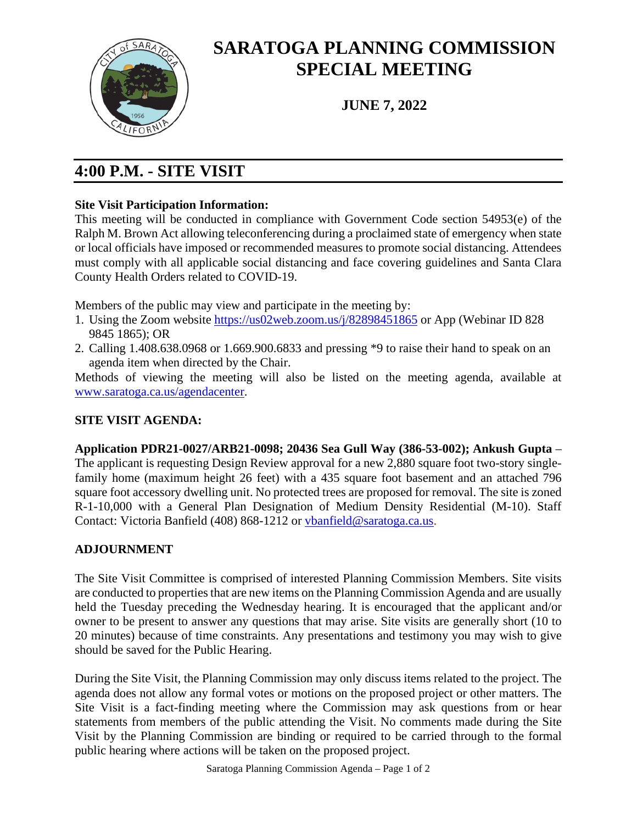

# **SARATOGA PLANNING COMMISSION SPECIAL MEETING**

**JUNE 7, 2022**

## **4:00 P.M. - SITE VISIT**

#### **Site Visit Participation Information:**

This meeting will be conducted in compliance with Government Code section 54953(e) of the Ralph M. Brown Act allowing teleconferencing during a proclaimed state of emergency when state or local officials have imposed or recommended measures to promote social distancing. Attendees must comply with all applicable social distancing and face covering guidelines and Santa Clara County Health Orders related to COVID-19.

Members of the public may view and participate in the meeting by:

- 1. Using the Zoom website<https://us02web.zoom.us/j/82898451865> or App (Webinar ID 828 9845 1865); OR
- 2. Calling 1.408.638.0968 or 1.669.900.6833 and pressing \*9 to raise their hand to speak on an agenda item when directed by the Chair.

Methods of viewing the meeting will also be listed on the meeting agenda, available at [www.saratoga.ca.us/agendacenter.](http://www.saratoga.ca.us/agendacenter)

### **SITE VISIT AGENDA:**

**Application PDR21-0027/ARB21-0098; 20436 Sea Gull Way (386-53-002); Ankush Gupta** – The applicant is requesting Design Review approval for a new 2,880 square foot two-story singlefamily home (maximum height 26 feet) with a 435 square foot basement and an attached 796 square foot accessory dwelling unit. No protected trees are proposed for removal. The site is zoned R-1-10,000 with a General Plan Designation of Medium Density Residential (M-10). Staff Contact: Victoria Banfield (408) 868-1212 or [vbanfield@saratoga.ca.us.](mailto:vbanfield@saratoga.ca.us)

### **ADJOURNMENT**

The Site Visit Committee is comprised of interested Planning Commission Members. Site visits are conducted to properties that are new items on the Planning Commission Agenda and are usually held the Tuesday preceding the Wednesday hearing. It is encouraged that the applicant and/or owner to be present to answer any questions that may arise. Site visits are generally short (10 to 20 minutes) because of time constraints. Any presentations and testimony you may wish to give should be saved for the Public Hearing.

During the Site Visit, the Planning Commission may only discuss items related to the project. The agenda does not allow any formal votes or motions on the proposed project or other matters. The Site Visit is a fact-finding meeting where the Commission may ask questions from or hear statements from members of the public attending the Visit. No comments made during the Site Visit by the Planning Commission are binding or required to be carried through to the formal public hearing where actions will be taken on the proposed project.